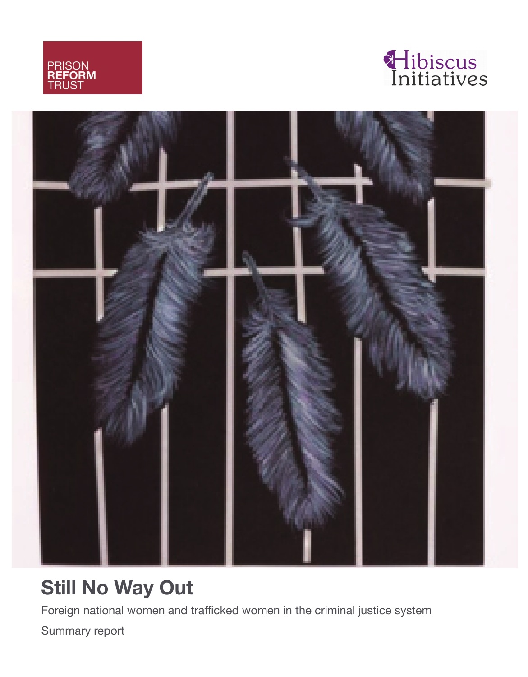





# **Still No Way Out**

Foreign national women and trafficked women in the criminal justice system

Summary report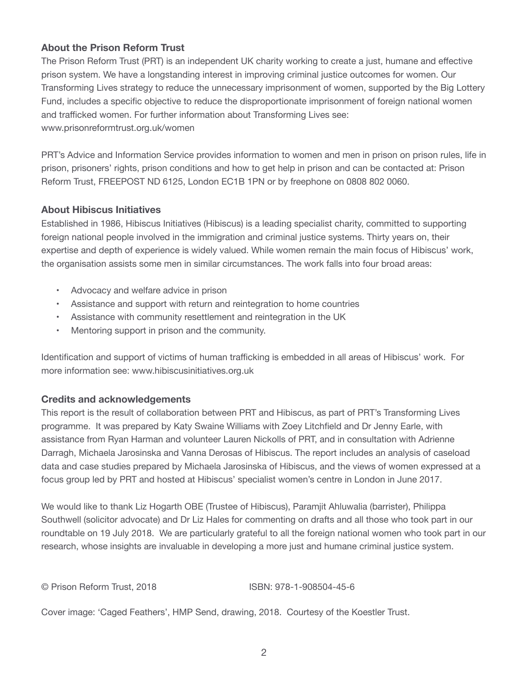## **About the Prison Reform Trust**

The Prison Reform Trust (PRT) is an independent UK charity working to create a just, humane and effective prison system. We have a longstanding interest in improving criminal justice outcomes for women. Our Transforming Lives strategy to reduce the unnecessary imprisonment of women, supported by the Big Lottery Fund, includes a specific objective to reduce the disproportionate imprisonment of foreign national women and trafficked women. For further information about Transforming Lives see: [www.prisonreformtrust.org.uk/women](http://www.prisonreformtrust.org.uk/women)

PRT's Advice and Information Service provides information to women and men in prison on prison rules, life in prison, prisoners' rights, prison conditions and how to get help in prison and can be contacted at: Prison Reform Trust, FREEPOST ND 6125, London EC1B 1PN or by freephone on 0808 802 0060.

#### **About Hibiscus Initiatives**

Established in 1986, Hibiscus Initiatives (Hibiscus) is a leading specialist charity, committed to supporting foreign national people involved in the immigration and criminal justice systems. Thirty years on, their expertise and depth of experience is widely valued. While women remain the main focus of Hibiscus' work, the organisation assists some men in similar circumstances. The work falls into four broad areas:

- Advocacy and welfare advice in prison
- Assistance and support with return and reintegration to home countries
- Assistance with community resettlement and reintegration in the UK
- Mentoring support in prison and the community.

Identification and support of victims of human trafficking is embedded in all areas of Hibiscus' work. For more information see: [www.hibiscusinitiatives.org.uk](http://www.hibiscusinitiatives.org.uk)

## **Credits and acknowledgements**

This report is the result of collaboration between PRT and Hibiscus, as part of PRT's Transforming Lives programme. It was prepared by Katy Swaine Williams with Zoey Litchfield and Dr Jenny Earle, with assistance from Ryan Harman and volunteer Lauren Nickolls of PRT, and in consultation with Adrienne Darragh, Michaela Jarosinska and Vanna Derosas of Hibiscus. The report includes an analysis of caseload data and case studies prepared by Michaela Jarosinska of Hibiscus, and the views of women expressed at a focus group led by PRT and hosted at Hibiscus' specialist women's centre in London in June 2017.

We would like to thank Liz Hogarth OBE (Trustee of Hibiscus), Paramjit Ahluwalia (barrister), Philippa Southwell (solicitor advocate) and Dr Liz Hales for commenting on drafts and all those who took part in our roundtable on 19 July 2018. We are particularly grateful to all the foreign national women who took part in our research, whose insights are invaluable in developing a more just and humane criminal justice system.

© Prison Reform Trust, 2018 ISBN: 978-1-908504-45-6

Cover image: 'Caged Feathers', HMP Send, drawing, 2018. Courtesy of the Koestler Trust.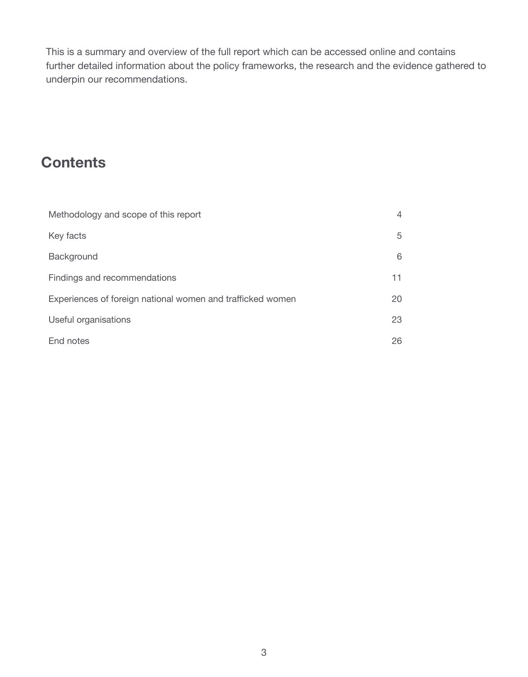This is a summary and overview of the full report which can be accessed online and contains further detailed information about the policy frameworks, the research and the evidence gathered to underpin our recommendations.

# **Contents**

| Methodology and scope of this report                       | 4  |
|------------------------------------------------------------|----|
| Key facts                                                  | 5  |
| Background                                                 | 6  |
| Findings and recommendations                               | 11 |
| Experiences of foreign national women and trafficked women | 20 |
| Useful organisations                                       | 23 |
| End notes                                                  | 26 |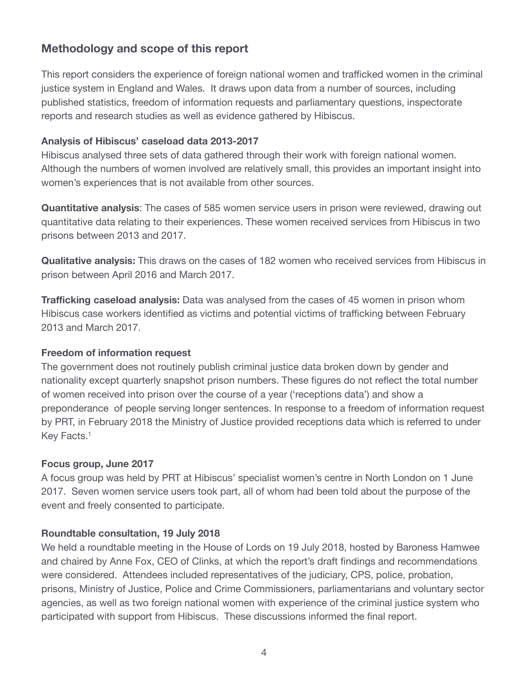# **Methodology and scope of this report**

This report considers the experience of foreign national women and trafficked women in the criminal justice system in England and Wales. It draws upon data from a number of sources, including published statistics, freedom of information requests and parliamentary questions, inspectorate reports and research studies as well as evidence gathered by Hibiscus.

# **Analysis of Hibiscus' caseload data 2013-2017**

Hibiscus analysed three sets of data gathered through their work with foreign national women. Although the numbers of women involved are relatively small, this provides an important insight into women's experiences that is not available from other sources.

**Quantitative analysis**: The cases of 585 women service users in prison were reviewed, drawing out quantitative data relating to their experiences. These women received services from Hibiscus in two prisons between 2013 and 2017.

**Qualitative analysis:** This draws on the cases of 182 women who received services from Hibiscus in prison between April 2016 and March 2017.

**Trafficking caseload analysis:** Data was analysed from the cases of 45 women in prison whom Hibiscus case workers identified as victims and potential victims of trafficking between February 2013 and March 2017.

## **Freedom of information request**

The government does not routinely publish criminal justice data broken down by gender and nationality except quarterly snapshot prison numbers. These figures do not reflect the total number of women received into prison over the course of a year ('receptions data') and show a preponderance of people serving longer sentences. In response to a freedom of information request by PRT, in February 2018 the Ministry of Justice provided receptions data which is referred to under Key Facts.<sup>1</sup>

# **Focus group, June 2017**

A focus group was held by PRT at Hibiscus' specialist women's centre in North London on 1 June 2017. Seven women service users took part, all of whom had been told about the purpose of the event and freely consented to participate.

# **Roundtable consultation, 19 July 2018**

We held a roundtable meeting in the House of Lords on 19 July 2018, hosted by Baroness Hamwee and chaired by Anne Fox, CEO of Clinks, at which the report's draft findings and recommendations were considered. Attendees included representatives of the judiciary, CPS, police, probation, prisons, Ministry of Justice, Police and Crime Commissioners, parliamentarians and voluntary sector agencies, as well as two foreign national women with experience of the criminal justice system who participated with support from Hibiscus. These discussions informed the final report.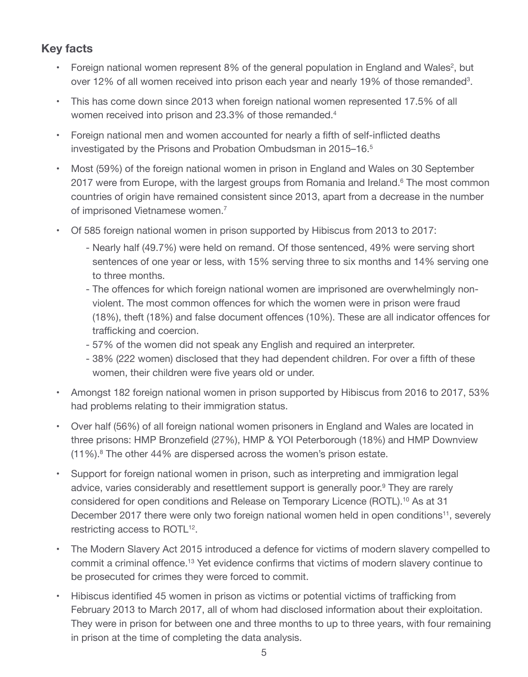# **Key facts**

- Foreign national women represent 8% of the general population in England and Wales<sup>2</sup>, but over 12% of all women received into prison each year and nearly 19% of those remanded<sup>3</sup>.
- This has come down since 2013 when foreign national women represented 17.5% of all women received into prison and 23.3% of those remanded.<sup>4</sup>
- Foreign national men and women accounted for nearly a fifth of self-inflicted deaths investigated by the Prisons and Probation Ombudsman in 2015–16.<sup>5</sup>
- Most (59%) of the foreign national women in prison in England and Wales on 30 September 2017 were from Europe, with the largest groups from Romania and Ireland.<sup>6</sup> The most common countries of origin have remained consistent since 2013, apart from a decrease in the number of imprisoned Vietnamese women.7
- Of 585 foreign national women in prison supported by Hibiscus from 2013 to 2017:
	- Nearly half (49.7%) were held on remand. Of those sentenced, 49% were serving short sentences of one year or less, with 15% serving three to six months and 14% serving one to three months.
	- The offences for which foreign national women are imprisoned are overwhelmingly nonviolent. The most common offences for which the women were in prison were fraud (18%), theft (18%) and false document offences (10%). These are all indicator offences for trafficking and coercion.
	- 57% of the women did not speak any English and required an interpreter.
	- 38% (222 women) disclosed that they had dependent children. For over a fifth of these women, their children were five years old or under.
- Amongst 182 foreign national women in prison supported by Hibiscus from 2016 to 2017, 53% had problems relating to their immigration status.
- Over half (56%) of all foreign national women prisoners in England and Wales are located in three prisons: HMP Bronzefield (27%), HMP & YOI Peterborough (18%) and HMP Downview (11%).8 The other 44% are dispersed across the women's prison estate.
- Support for foreign national women in prison, such as interpreting and immigration legal advice, varies considerably and resettlement support is generally poor.<sup>9</sup> They are rarely considered for open conditions and Release on Temporary Licence (ROTL).10 As at 31 December 2017 there were only two foreign national women held in open conditions<sup>11</sup>, severely restricting access to ROTL<sup>12</sup>.
- The Modern Slavery Act 2015 introduced a defence for victims of modern slavery compelled to commit a criminal offence.13 Yet evidence confirms that victims of modern slavery continue to be prosecuted for crimes they were forced to commit.
- Hibiscus identified 45 women in prison as victims or potential victims of trafficking from February 2013 to March 2017, all of whom had disclosed information about their exploitation. They were in prison for between one and three months to up to three years, with four remaining in prison at the time of completing the data analysis.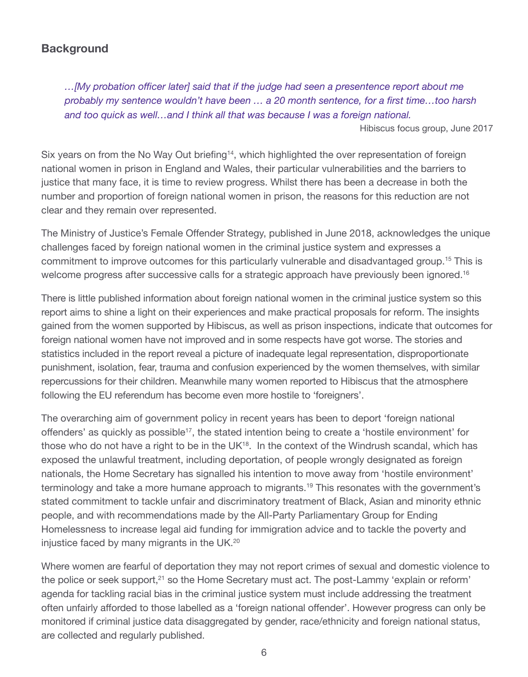# **Background**

*…[My probation officer later] said that if the judge had seen a presentence report about me probably my sentence wouldn't have been … a 20 month sentence, for a first time…too harsh and too quick as well…and I think all that was because I was a foreign national.*

Hibiscus focus group, June 2017

Six years on from the No Way Out briefing<sup>14</sup>, which highlighted the over representation of foreign national women in prison in England and Wales, their particular vulnerabilities and the barriers to justice that many face, it is time to review progress. Whilst there has been a decrease in both the number and proportion of foreign national women in prison, the reasons for this reduction are not clear and they remain over represented.

The Ministry of Justice's Female Offender Strategy, published in June 2018, acknowledges the unique challenges faced by foreign national women in the criminal justice system and expresses a commitment to improve outcomes for this particularly vulnerable and disadvantaged group.15 This is welcome progress after successive calls for a strategic approach have previously been ignored.<sup>16</sup>

There is little published information about foreign national women in the criminal justice system so this report aims to shine a light on their experiences and make practical proposals for reform. The insights gained from the women supported by Hibiscus, as well as prison inspections, indicate that outcomes for foreign national women have not improved and in some respects have got worse. The stories and statistics included in the report reveal a picture of inadequate legal representation, disproportionate punishment, isolation, fear, trauma and confusion experienced by the women themselves, with similar repercussions for their children. Meanwhile many women reported to Hibiscus that the atmosphere following the EU referendum has become even more hostile to 'foreigners'.

The overarching aim of government policy in recent years has been to deport 'foreign national offenders' as quickly as possible<sup>17</sup>, the stated intention being to create a 'hostile environment' for those who do not have a right to be in the UK<sup>18</sup>. In the context of the Windrush scandal, which has exposed the unlawful treatment, including deportation, of people wrongly designated as foreign nationals, the Home Secretary has signalled his intention to move away from 'hostile environment' terminology and take a more humane approach to migrants.<sup>19</sup> This resonates with the government's stated commitment to tackle unfair and discriminatory treatment of Black, Asian and minority ethnic people, and with recommendations made by the All-Party Parliamentary Group for Ending Homelessness to increase legal aid funding for immigration advice and to tackle the poverty and injustice faced by many migrants in the UK.20

Where women are fearful of deportation they may not report crimes of sexual and domestic violence to the police or seek support,<sup>21</sup> so the Home Secretary must act. The post-Lammy 'explain or reform' agenda for tackling racial bias in the criminal justice system must include addressing the treatment often unfairly afforded to those labelled as a 'foreign national offender'. However progress can only be monitored if criminal justice data disaggregated by gender, race/ethnicity and foreign national status, are collected and regularly published.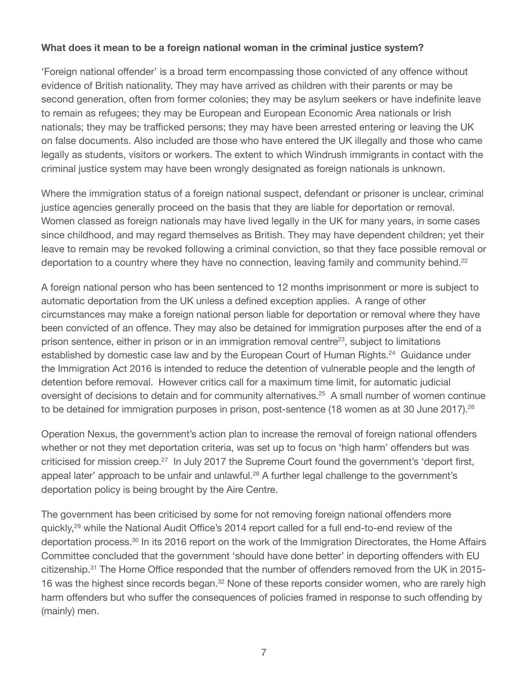# **What does it mean to be a foreign national woman in the criminal justice system?**

'Foreign national offender' is a broad term encompassing those convicted of any offence without evidence of British nationality. They may have arrived as children with their parents or may be second generation, often from former colonies; they may be asylum seekers or have indefinite leave to remain as refugees; they may be European and European Economic Area nationals or Irish nationals; they may be trafficked persons; they may have been arrested entering or leaving the UK on false documents. Also included are those who have entered the UK illegally and those who came legally as students, visitors or workers. The extent to which Windrush immigrants in contact with the criminal justice system may have been wrongly designated as foreign nationals is unknown.

Where the immigration status of a foreign national suspect, defendant or prisoner is unclear, criminal justice agencies generally proceed on the basis that they are liable for deportation or removal. Women classed as foreign nationals may have lived legally in the UK for many years, in some cases since childhood, and may regard themselves as British. They may have dependent children; yet their leave to remain may be revoked following a criminal conviction, so that they face possible removal or deportation to a country where they have no connection, leaving family and community behind.<sup>22</sup>

A foreign national person who has been sentenced to 12 months imprisonment or more is subject to automatic deportation from the UK unless a defined exception applies. A range of other circumstances may make a foreign national person liable for deportation or removal where they have been convicted of an offence. They may also be detained for immigration purposes after the end of a prison sentence, either in prison or in an immigration removal centre23, subject to limitations established by domestic case law and by the European Court of Human Rights.<sup>24</sup> Guidance under the Immigration Act 2016 is intended to reduce the detention of vulnerable people and the length of detention before removal. However critics call for a maximum time limit, for automatic judicial oversight of decisions to detain and for community alternatives.<sup>25</sup> A small number of women continue to be detained for immigration purposes in prison, post-sentence (18 women as at 30 June 2017).<sup>26</sup>

Operation Nexus, the government's action plan to increase the removal of foreign national offenders whether or not they met deportation criteria, was set up to focus on 'high harm' offenders but was criticised for mission creep.<sup>27</sup> In July 2017 the Supreme Court found the government's 'deport first, appeal later' approach to be unfair and unlawful.<sup>28</sup> A further legal challenge to the government's deportation policy is being brought by the Aire Centre.

The government has been criticised by some for not removing foreign national offenders more quickly,29 while the National Audit Office's 2014 report called for a full end-to-end review of the deportation process.30 In its 2016 report on the work of the Immigration Directorates, the Home Affairs Committee concluded that the government 'should have done better' in deporting offenders with EU citizenship.31 The Home Office responded that the number of offenders removed from the UK in 2015- 16 was the highest since records began.<sup>32</sup> None of these reports consider women, who are rarely high harm offenders but who suffer the consequences of policies framed in response to such offending by (mainly) men.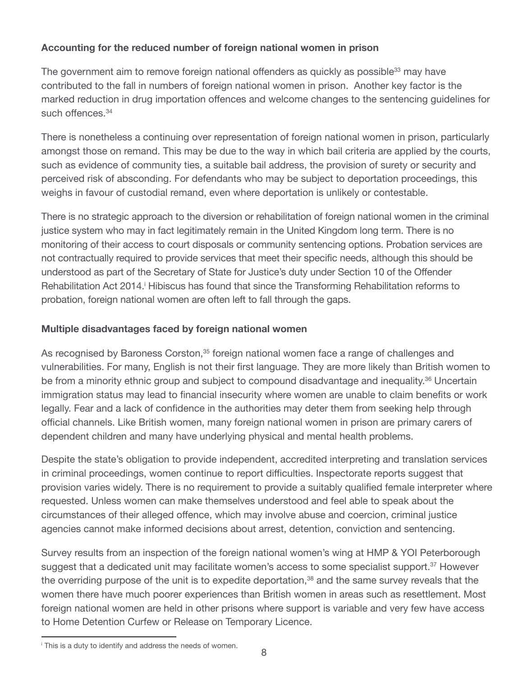# **Accounting for the reduced number of foreign national women in prison**

The government aim to remove foreign national offenders as quickly as possible<sup>33</sup> may have contributed to the fall in numbers of foreign national women in prison. Another key factor is the marked reduction in drug importation offences and welcome changes to the sentencing guidelines for such offences.<sup>34</sup>

There is nonetheless a continuing over representation of foreign national women in prison, particularly amongst those on remand. This may be due to the way in which bail criteria are applied by the courts, such as evidence of community ties, a suitable bail address, the provision of surety or security and perceived risk of absconding. For defendants who may be subject to deportation proceedings, this weighs in favour of custodial remand, even where deportation is unlikely or contestable.

There is no strategic approach to the diversion or rehabilitation of foreign national women in the criminal justice system who may in fact legitimately remain in the United Kingdom long term. There is no monitoring of their access to court disposals or community sentencing options. Probation services are not contractually required to provide services that meet their specific needs, although this should be understood as part of the Secretary of State for Justice's duty under Section 10 of the Offender Rehabilitation Act 2014.<sup>*i*</sup> Hibiscus has found that since the Transforming Rehabilitation reforms to probation, foreign national women are often left to fall through the gaps.

# **Multiple disadvantages faced by foreign national women**

As recognised by Baroness Corston,<sup>35</sup> foreign national women face a range of challenges and vulnerabilities. For many, English is not their first language. They are more likely than British women to be from a minority ethnic group and subject to compound disadvantage and inequality.<sup>36</sup> Uncertain immigration status may lead to financial insecurity where women are unable to claim benefits or work legally. Fear and a lack of confidence in the authorities may deter them from seeking help through official channels. Like British women, many foreign national women in prison are primary carers of dependent children and many have underlying physical and mental health problems.

Despite the state's obligation to provide independent, accredited interpreting and translation services in criminal proceedings, women continue to report difficulties. Inspectorate reports suggest that provision varies widely. There is no requirement to provide a suitably qualified female interpreter where requested. Unless women can make themselves understood and feel able to speak about the circumstances of their alleged offence, which may involve abuse and coercion, criminal justice agencies cannot make informed decisions about arrest, detention, conviction and sentencing.

Survey results from an inspection of the foreign national women's wing at HMP & YOI Peterborough suggest that a dedicated unit may facilitate women's access to some specialist support.<sup>37</sup> However the overriding purpose of the unit is to expedite deportation,<sup>38</sup> and the same survey reveals that the women there have much poorer experiences than British women in areas such as resettlement. Most foreign national women are held in other prisons where support is variable and very few have access to Home Detention Curfew or Release on Temporary Licence.

<sup>i</sup> This is a duty to identify and address the needs of women.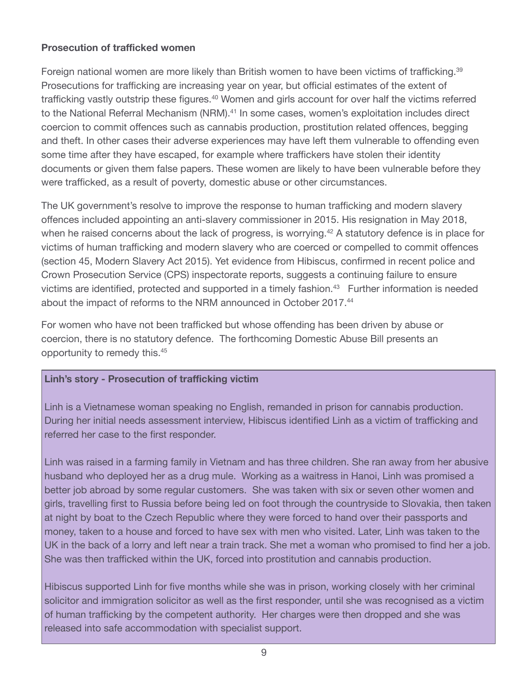# **Prosecution of trafficked women**

Foreign national women are more likely than British women to have been victims of trafficking.<sup>39</sup> Prosecutions for trafficking are increasing year on year, but official estimates of the extent of trafficking vastly outstrip these figures.<sup>40</sup> Women and girls account for over half the victims referred to the National Referral Mechanism (NRM).<sup>41</sup> In some cases, women's exploitation includes direct coercion to commit offences such as cannabis production, prostitution related offences, begging and theft. In other cases their adverse experiences may have left them vulnerable to offending even some time after they have escaped, for example where traffickers have stolen their identity documents or given them false papers. These women are likely to have been vulnerable before they were trafficked, as a result of poverty, domestic abuse or other circumstances.

The UK government's resolve to improve the response to human trafficking and modern slavery offences included appointing an anti-slavery commissioner in 2015. His resignation in May 2018, when he raised concerns about the lack of progress, is worrying.<sup>42</sup> A statutory defence is in place for victims of human trafficking and modern slavery who are coerced or compelled to commit offences (section 45, Modern Slavery Act 2015). Yet evidence from Hibiscus, confirmed in recent police and Crown Prosecution Service (CPS) inspectorate reports, suggests a continuing failure to ensure victims are identified, protected and supported in a timely fashion.<sup>43</sup> Further information is needed about the impact of reforms to the NRM announced in October 2017.44

For women who have not been trafficked but whose offending has been driven by abuse or coercion, there is no statutory defence. The forthcoming Domestic Abuse Bill presents an opportunity to remedy this.45

## **Linh's story - Prosecution of trafficking victim**

Linh is a Vietnamese woman speaking no English, remanded in prison for cannabis production. During her initial needs assessment interview, Hibiscus identified Linh as a victim of trafficking and referred her case to the first responder.

Linh was raised in a farming family in Vietnam and has three children. She ran away from her abusive husband who deployed her as a drug mule. Working as a waitress in Hanoi, Linh was promised a better job abroad by some regular customers. She was taken with six or seven other women and girls, travelling first to Russia before being led on foot through the countryside to Slovakia, then taken at night by boat to the Czech Republic where they were forced to hand over their passports and money, taken to a house and forced to have sex with men who visited. Later, Linh was taken to the UK in the back of a lorry and left near a train track. She met a woman who promised to find her a job. She was then trafficked within the UK, forced into prostitution and cannabis production.

Hibiscus supported Linh for five months while she was in prison, working closely with her criminal solicitor and immigration solicitor as well as the first responder, until she was recognised as a victim of human trafficking by the competent authority. Her charges were then dropped and she was released into safe accommodation with specialist support.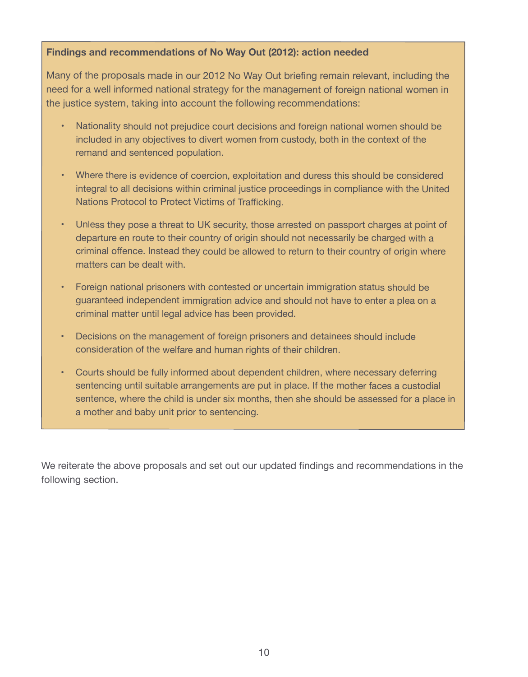## **Findings and recommendations of No Way Out (2012): action needed**

Many of the proposals made in our 2012 No Way Out briefing remain relevant, including the need for a well informed national strategy for the management of foreign national women in the justice system, taking into account the following recommendations:

- • Nationality should not prejudice court decisions and foreign national women should be included in any objectives to divert women from custody, both in the context of the remand and sentenced population.
- • Where there is evidence of coercion, exploitation and duress this should be considered integral to all decisions within criminal justice proceedings in compliance with the United Nations Protocol to Protect Victims of Trafficking.
- Unless they pose a threat to UK security, those arrested on passport charges at point of departure en route to their country of origin should not necessarily be charged with a criminal offence. Instead they could be allowed to return to their country of origin where matters can be dealt with.
- Foreign national prisoners with contested or uncertain immigration status should be guaranteed independent immigration advice and should not have to enter a plea on a criminal matter until legal advice has been provided.
- Decisions on the management of foreign prisoners and detainees should include consideration of the welfare and human rights of their children.
- Courts should be fully informed about dependent children, where necessary deferring sentencing until suitable arrangements are put in place. If the mother faces a custodial sentence, where the child is under six months, then she should be assessed for a place in a mother and baby unit prior to sentencing.

We reiterate the above proposals and set out our updated findings and recommendations in the following section.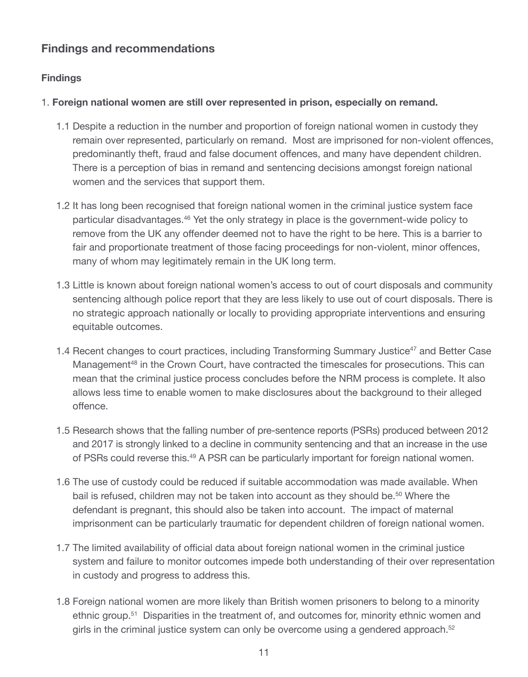# **Findings and recommendations**

# **Findings**

# 1. **Foreign national women are still over represented in prison, especially on remand.**

- 1.1 Despite a reduction in the number and proportion of foreign national women in custody they remain over represented, particularly on remand. Most are imprisoned for non-violent offences, predominantly theft, fraud and false document offences, and many have dependent children. There is a perception of bias in remand and sentencing decisions amongst foreign national women and the services that support them.
- 1.2 It has long been recognised that foreign national women in the criminal justice system face particular disadvantages.46 Yet the only strategy in place is the government-wide policy to remove from the UK any offender deemed not to have the right to be here. This is a barrier to fair and proportionate treatment of those facing proceedings for non-violent, minor offences, many of whom may legitimately remain in the UK long term.
- 1.3 Little is known about foreign national women's access to out of court disposals and community sentencing although police report that they are less likely to use out of court disposals. There is no strategic approach nationally or locally to providing appropriate interventions and ensuring equitable outcomes.
- 1.4 Recent changes to court practices, including Transforming Summary Justice<sup>47</sup> and Better Case Management<sup>48</sup> in the Crown Court, have contracted the timescales for prosecutions. This can mean that the criminal justice process concludes before the NRM process is complete. It also allows less time to enable women to make disclosures about the background to their alleged offence.
- 1.5 Research shows that the falling number of pre-sentence reports (PSRs) produced between 2012 and 2017 is strongly linked to a decline in community sentencing and that an increase in the use of PSRs could reverse this.<sup>49</sup> A PSR can be particularly important for foreign national women.
- 1.6 The use of custody could be reduced if suitable accommodation was made available. When bail is refused, children may not be taken into account as they should be.<sup>50</sup> Where the defendant is pregnant, this should also be taken into account. The impact of maternal imprisonment can be particularly traumatic for dependent children of foreign national women.
- 1.7 The limited availability of official data about foreign national women in the criminal justice system and failure to monitor outcomes impede both understanding of their over representation in custody and progress to address this.
- 1.8 Foreign national women are more likely than British women prisoners to belong to a minority ethnic group.<sup>51</sup> Disparities in the treatment of, and outcomes for, minority ethnic women and girls in the criminal justice system can only be overcome using a gendered approach.<sup>52</sup>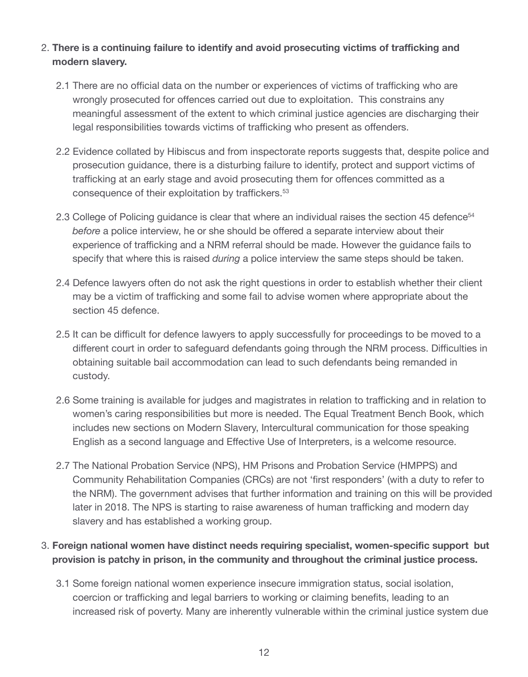# 2. **There is a continuing failure to identify and avoid prosecuting victims of trafficking and modern slavery.**

- 2.1 There are no official data on the number or experiences of victims of trafficking who are wrongly prosecuted for offences carried out due to exploitation. This constrains any meaningful assessment of the extent to which criminal justice agencies are discharging their legal responsibilities towards victims of trafficking who present as offenders.
- 2.2 Evidence collated by Hibiscus and from inspectorate reports suggests that, despite police and prosecution guidance, there is a disturbing failure to identify, protect and support victims of trafficking at an early stage and avoid prosecuting them for offences committed as a consequence of their exploitation by traffickers.53
- 2.3 College of Policing guidance is clear that where an individual raises the section 45 defence<sup>54</sup> *before* a police interview, he or she should be offered a separate interview about their experience of trafficking and a NRM referral should be made. However the guidance fails to specify that where this is raised *during* a police interview the same steps should be taken.
- 2.4 Defence lawyers often do not ask the right questions in order to establish whether their client may be a victim of trafficking and some fail to advise women where appropriate about the section 45 defence.
- 2.5 It can be difficult for defence lawyers to apply successfully for proceedings to be moved to a different court in order to safeguard defendants going through the NRM process. Difficulties in obtaining suitable bail accommodation can lead to such defendants being remanded in custody.
- 2.6 Some training is available for judges and magistrates in relation to trafficking and in relation to women's caring responsibilities but more is needed. The Equal Treatment Bench Book, which includes new sections on Modern Slavery, Intercultural communication for those speaking English as a second language and Effective Use of Interpreters, is a welcome resource.
- 2.7 The National Probation Service (NPS), HM Prisons and Probation Service (HMPPS) and Community Rehabilitation Companies (CRCs) are not 'first responders' (with a duty to refer to the NRM). The government advises that further information and training on this will be provided later in 2018. The NPS is starting to raise awareness of human trafficking and modern day slavery and has established a working group.

# 3. **Foreign national women have distinct needs requiring specialist, women-specific support but provision is patchy in prison, in the community and throughout the criminal justice process.**

3.1 Some foreign national women experience insecure immigration status, social isolation, coercion or trafficking and legal barriers to working or claiming benefits, leading to an increased risk of poverty. Many are inherently vulnerable within the criminal justice system due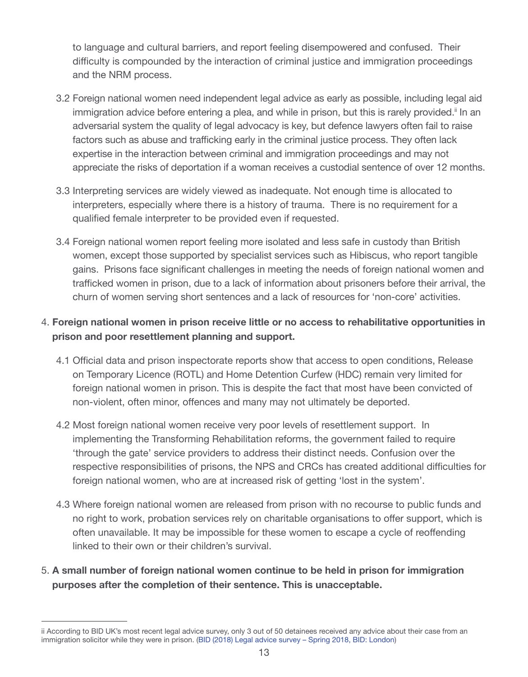to language and cultural barriers, and report feeling disempowered and confused. Their difficulty is compounded by the interaction of criminal justice and immigration proceedings and the NRM process.

- 3.2 Foreign national women need independent legal advice as early as possible, including legal aid immigration advice before entering a plea, and while in prison, but this is rarely provided.<sup>ii</sup> In an adversarial system the quality of legal advocacy is key, but defence lawyers often fail to raise factors such as abuse and trafficking early in the criminal justice process. They often lack expertise in the interaction between criminal and immigration proceedings and may not appreciate the risks of deportation if a woman receives a custodial sentence of over 12 months.
- 3.3 Interpreting services are widely viewed as inadequate. Not enough time is allocated to interpreters, especially where there is a history of trauma. There is no requirement for a qualified female interpreter to be provided even if requested.
- 3.4 Foreign national women report feeling more isolated and less safe in custody than British women, except those supported by specialist services such as Hibiscus, who report tangible gains. Prisons face significant challenges in meeting the needs of foreign national women and trafficked women in prison, due to a lack of information about prisoners before their arrival, the churn of women serving short sentences and a lack of resources for 'non-core' activities.

# 4. **Foreign national women in prison receive little or no access to rehabilitative opportunities in prison and poor resettlement planning and support.**

- 4.1 Official data and prison inspectorate reports show that access to open conditions, Release on Temporary Licence (ROTL) and Home Detention Curfew (HDC) remain very limited for foreign national women in prison. This is despite the fact that most have been convicted of non-violent, often minor, offences and many may not ultimately be deported.
- 4.2 Most foreign national women receive very poor levels of resettlement support. In implementing the Transforming Rehabilitation reforms, the government failed to require 'through the gate' service providers to address their distinct needs. Confusion over the respective responsibilities of prisons, the NPS and CRCs has created additional difficulties for foreign national women, who are at increased risk of getting 'lost in the system'.
- 4.3 Where foreign national women are released from prison with no recourse to public funds and no right to work, probation services rely on charitable organisations to offer support, which is often unavailable. It may be impossible for these women to escape a cycle of reoffending linked to their own or their children's survival.
- 5. **A small number of foreign national women continue to be held in prison for immigration purposes after the completion of their sentence. This is unacceptable.**

ii According to BID UK's most recent legal advice survey, only 3 out of 50 detainees received any advice about their case from an immigration solicitor while they were in prison. [\(BID \(2018\) Legal advice survey – Spring 2018, BID: London\)](http://hubble-live-assets.s3.amazonaws.com/biduk/redactor2_assets/files/657/Legal_Advice_Survey_-_Spring_2018.pdf)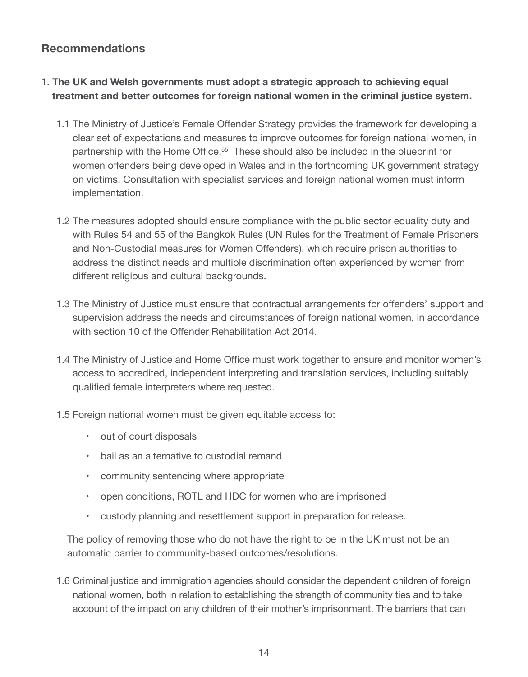# **Recommendations**

- 1. **The UK and Welsh governments must adopt a strategic approach to achieving equal treatment and better outcomes for foreign national women in the criminal justice system.**
	- 1.1 The Ministry of Justice's Female Offender Strategy provides the framework for developing a clear set of expectations and measures to improve outcomes for foreign national women, in partnership with the Home Office.<sup>55</sup> These should also be included in the blueprint for women offenders being developed in Wales and in the forthcoming UK government strategy on victims. Consultation with specialist services and foreign national women must inform implementation.
	- 1.2 The measures adopted should ensure compliance with the public sector equality duty and with Rules 54 and 55 of the Bangkok Rules (UN Rules for the Treatment of Female Prisoners and Non-Custodial measures for Women Offenders), which require prison authorities to address the distinct needs and multiple discrimination often experienced by women from different religious and cultural backgrounds.
	- 1.3 The Ministry of Justice must ensure that contractual arrangements for offenders' support and supervision address the needs and circumstances of foreign national women, in accordance with section 10 of the Offender Rehabilitation Act 2014.
	- 1.4 The Ministry of Justice and Home Office must work together to ensure and monitor women's access to accredited, independent interpreting and translation services, including suitably qualified female interpreters where requested.
	- 1.5 Foreign national women must be given equitable access to:
		- out of court disposals
		- bail as an alternative to custodial remand
		- community sentencing where appropriate
		- open conditions, ROTL and HDC for women who are imprisoned
		- custody planning and resettlement support in preparation for release.

The policy of removing those who do not have the right to be in the UK must not be an automatic barrier to community-based outcomes/resolutions.

1.6 Criminal justice and immigration agencies should consider the dependent children of foreign national women, both in relation to establishing the strength of community ties and to take account of the impact on any children of their mother's imprisonment. The barriers that can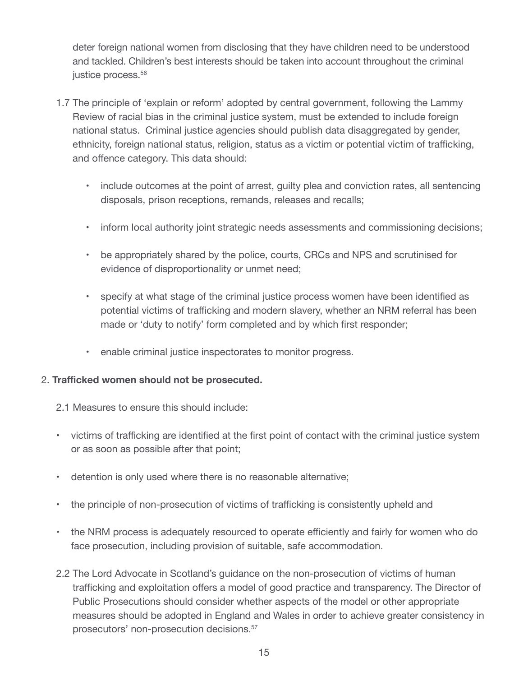deter foreign national women from disclosing that they have children need to be understood and tackled. Children's best interests should be taken into account throughout the criminal justice process.<sup>56</sup>

- 1.7 The principle of 'explain or reform' adopted by central government, following the Lammy Review of racial bias in the criminal justice system, must be extended to include foreign national status. Criminal justice agencies should publish data disaggregated by gender, ethnicity, foreign national status, religion, status as a victim or potential victim of trafficking, and offence category. This data should:
	- include outcomes at the point of arrest, guilty plea and conviction rates, all sentencing disposals, prison receptions, remands, releases and recalls;
	- inform local authority joint strategic needs assessments and commissioning decisions;
	- be appropriately shared by the police, courts, CRCs and NPS and scrutinised for evidence of disproportionality or unmet need;
	- specify at what stage of the criminal justice process women have been identified as potential victims of trafficking and modern slavery, whether an NRM referral has been made or 'duty to notify' form completed and by which first responder;
	- enable criminal justice inspectorates to monitor progress.

## 2. **Trafficked women should not be prosecuted.**

- 2.1 Measures to ensure this should include:
- victims of trafficking are identified at the first point of contact with the criminal justice system or as soon as possible after that point;
- detention is only used where there is no reasonable alternative;
- the principle of non-prosecution of victims of trafficking is consistently upheld and
- the NRM process is adequately resourced to operate efficiently and fairly for women who do face prosecution, including provision of suitable, safe accommodation.
- 2.2 The Lord Advocate in Scotland's guidance on the non-prosecution of victims of human trafficking and exploitation offers a model of good practice and transparency. The Director of Public Prosecutions should consider whether aspects of the model or other appropriate measures should be adopted in England and Wales in order to achieve greater consistency in prosecutors' non-prosecution decisions.57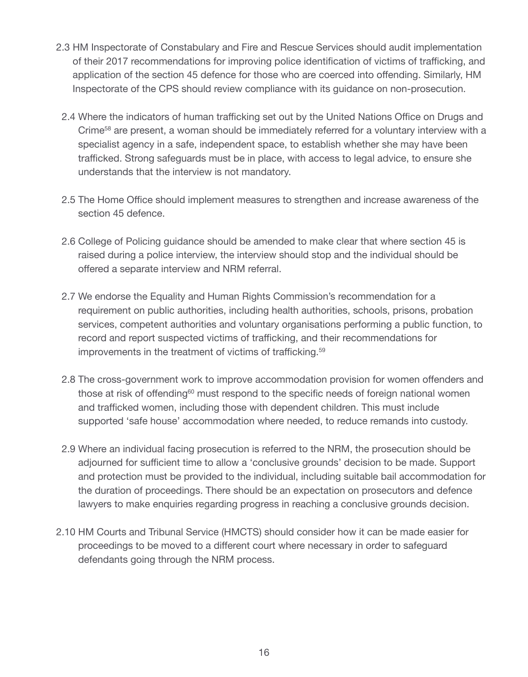- 2.3 HM Inspectorate of Constabulary and Fire and Rescue Services should audit implementation of their 2017 recommendations for improving police identification of victims of trafficking, and application of the section 45 defence for those who are coerced into offending. Similarly, HM Inspectorate of the CPS should review compliance with its guidance on non-prosecution.
	- 2.4 Where the indicators of human trafficking set out by the United Nations Office on Drugs and Crime<sup>58</sup> are present, a woman should be immediately referred for a voluntary interview with a specialist agency in a safe, independent space, to establish whether she may have been trafficked. Strong safeguards must be in place, with access to legal advice, to ensure she understands that the interview is not mandatory.
	- 2.5 The Home Office should implement measures to strengthen and increase awareness of the section 45 defence.
	- 2.6 College of Policing guidance should be amended to make clear that where section 45 is raised during a police interview, the interview should stop and the individual should be offered a separate interview and NRM referral.
	- 2.7 We endorse the Equality and Human Rights Commission's recommendation for a requirement on public authorities, including health authorities, schools, prisons, probation services, competent authorities and voluntary organisations performing a public function, to record and report suspected victims of trafficking, and their recommendations for improvements in the treatment of victims of trafficking.<sup>59</sup>
	- 2.8 The cross-government work to improve accommodation provision for women offenders and those at risk of offending<sup>60</sup> must respond to the specific needs of foreign national women and trafficked women, including those with dependent children. This must include supported 'safe house' accommodation where needed, to reduce remands into custody.
- 2.9 Where an individual facing prosecution is referred to the NRM, the prosecution should be adjourned for sufficient time to allow a 'conclusive grounds' decision to be made. Support and protection must be provided to the individual, including suitable bail accommodation for the duration of proceedings. There should be an expectation on prosecutors and defence lawyers to make enquiries regarding progress in reaching a conclusive grounds decision.
- 2.10 HM Courts and Tribunal Service (HMCTS) should consider how it can be made easier for proceedings to be moved to a different court where necessary in order to safeguard defendants going through the NRM process.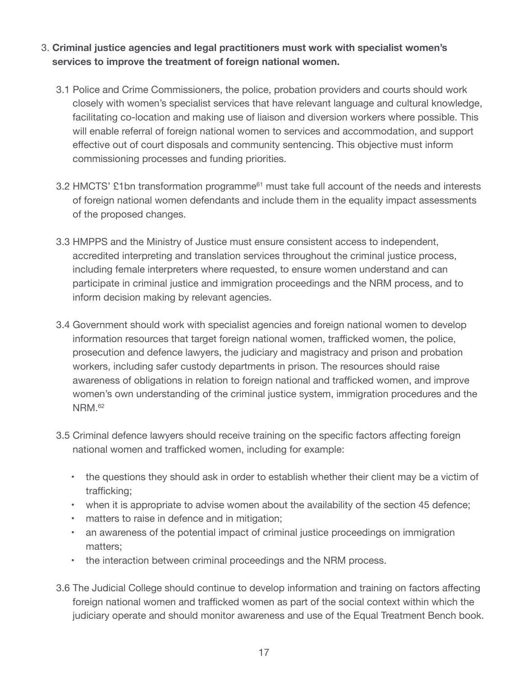# 3. **Criminal justice agencies and legal practitioners must work with specialist women's services to improve the treatment of foreign national women.**

- 3.1 Police and Crime Commissioners, the police, probation providers and courts should work closely with women's specialist services that have relevant language and cultural knowledge, facilitating co-location and making use of liaison and diversion workers where possible. This will enable referral of foreign national women to services and accommodation, and support effective out of court disposals and community sentencing. This objective must inform commissioning processes and funding priorities.
- 3.2 HMCTS' £1bn transformation programme<sup>61</sup> must take full account of the needs and interests of foreign national women defendants and include them in the equality impact assessments of the proposed changes.
- 3.3 HMPPS and the Ministry of Justice must ensure consistent access to independent, accredited interpreting and translation services throughout the criminal justice process, including female interpreters where requested, to ensure women understand and can participate in criminal justice and immigration proceedings and the NRM process, and to inform decision making by relevant agencies.
- 3.4 Government should work with specialist agencies and foreign national women to develop information resources that target foreign national women, trafficked women, the police, prosecution and defence lawyers, the judiciary and magistracy and prison and probation workers, including safer custody departments in prison. The resources should raise awareness of obligations in relation to foreign national and trafficked women, and improve women's own understanding of the criminal justice system, immigration procedures and the NRM.<sup>62</sup>
- 3.5 Criminal defence lawyers should receive training on the specific factors affecting foreign national women and trafficked women, including for example:
	- the questions they should ask in order to establish whether their client may be a victim of trafficking;
	- when it is appropriate to advise women about the availability of the section 45 defence;
	- matters to raise in defence and in mitigation;
	- an awareness of the potential impact of criminal justice proceedings on immigration matters;
	- the interaction between criminal proceedings and the NRM process.
- 3.6 The Judicial College should continue to develop information and training on factors affecting foreign national women and trafficked women as part of the social context within which the judiciary operate and should monitor awareness and use of the Equal Treatment Bench book.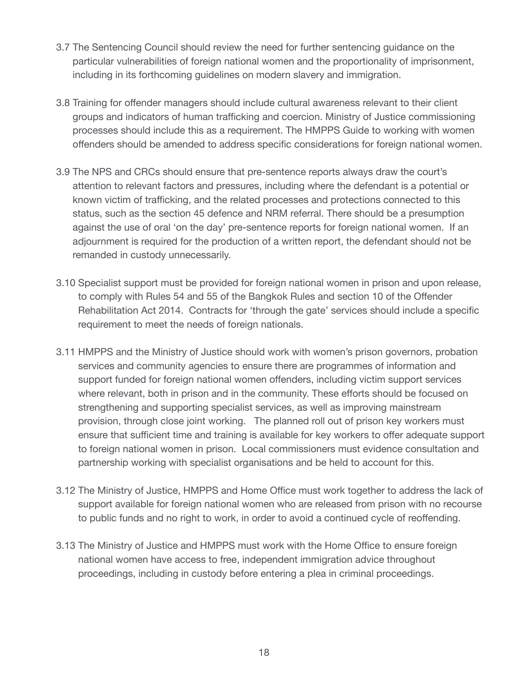- 3.7 The Sentencing Council should review the need for further sentencing guidance on the particular vulnerabilities of foreign national women and the proportionality of imprisonment, including in its forthcoming guidelines on modern slavery and immigration.
- 3.8 Training for offender managers should include cultural awareness relevant to their client groups and indicators of human trafficking and coercion. Ministry of Justice commissioning processes should include this as a requirement. The HMPPS Guide to working with women offenders should be amended to address specific considerations for foreign national women.
- 3.9 The NPS and CRCs should ensure that pre-sentence reports always draw the court's attention to relevant factors and pressures, including where the defendant is a potential or known victim of trafficking, and the related processes and protections connected to this status, such as the section 45 defence and NRM referral. There should be a presumption against the use of oral 'on the day' pre-sentence reports for foreign national women. If an adjournment is required for the production of a written report, the defendant should not be remanded in custody unnecessarily.
- 3.10 Specialist support must be provided for foreign national women in prison and upon release, to comply with Rules 54 and 55 of the Bangkok Rules and section 10 of the Offender Rehabilitation Act 2014. Contracts for 'through the gate' services should include a specific requirement to meet the needs of foreign nationals.
- 3.11 HMPPS and the Ministry of Justice should work with women's prison governors, probation services and community agencies to ensure there are programmes of information and support funded for foreign national women offenders, including victim support services where relevant, both in prison and in the community. These efforts should be focused on strengthening and supporting specialist services, as well as improving mainstream provision, through close joint working. The planned roll out of prison key workers must ensure that sufficient time and training is available for key workers to offer adequate support to foreign national women in prison. Local commissioners must evidence consultation and partnership working with specialist organisations and be held to account for this.
- 3.12 The Ministry of Justice, HMPPS and Home Office must work together to address the lack of support available for foreign national women who are released from prison with no recourse to public funds and no right to work, in order to avoid a continued cycle of reoffending.
- 3.13 The Ministry of Justice and HMPPS must work with the Home Office to ensure foreign national women have access to free, independent immigration advice throughout proceedings, including in custody before entering a plea in criminal proceedings.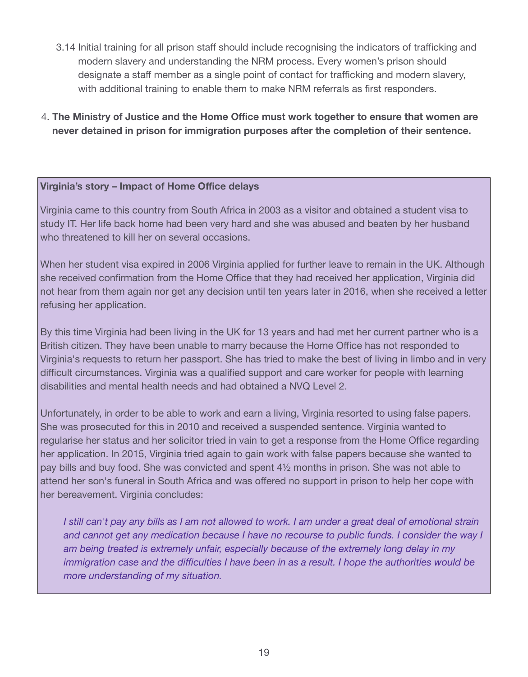- 3.14 Initial training for all prison staff should include recognising the indicators of trafficking and modern slavery and understanding the NRM process. Every women's prison should designate a staff member as a single point of contact for trafficking and modern slavery, with additional training to enable them to make NRM referrals as first responders.
- 4. **The Ministry of Justice and the Home Office must work together to ensure that women are never detained in prison for immigration purposes after the completion of their sentence.**

## **Virginia's story – Impact of Home Office delays**

Virginia came to this country from South Africa in 2003 as a visitor and obtained a student visa to study IT. Her life back home had been very hard and she was abused and beaten by her husband who threatened to kill her on several occasions.

When her student visa expired in 2006 Virginia applied for further leave to remain in the UK. Although she received confirmation from the Home Office that they had received her application, Virginia did not hear from them again nor get any decision until ten years later in 2016, when she received a letter refusing her application.

By this time Virginia had been living in the UK for 13 years and had met her current partner who is a British citizen. They have been unable to marry because the Home Office has not responded to Virginia's requests to return her passport. She has tried to make the best of living in limbo and in very difficult circumstances. Virginia was a qualified support and care worker for people with learning disabilities and mental health needs and had obtained a NVQ Level 2.

Unfortunately, in order to be able to work and earn a living, Virginia resorted to using false papers. She was prosecuted for this in 2010 and received a suspended sentence. Virginia wanted to regularise her status and her solicitor tried in vain to get a response from the Home Office regarding her application. In 2015, Virginia tried again to gain work with false papers because she wanted to pay bills and buy food. She was convicted and spent 4½ months in prison. She was not able to attend her son's funeral in South Africa and was offered no support in prison to help her cope with her bereavement. Virginia concludes:

*I still can't pay any bills as I am not allowed to work. I am under a great deal of emotional strain and cannot get any medication because I have no recourse to public funds. I consider the way I am being treated is extremely unfair, especially because of the extremely long delay in my immigration case and the difficulties I have been in as a result. I hope the authorities would be more understanding of my situation.*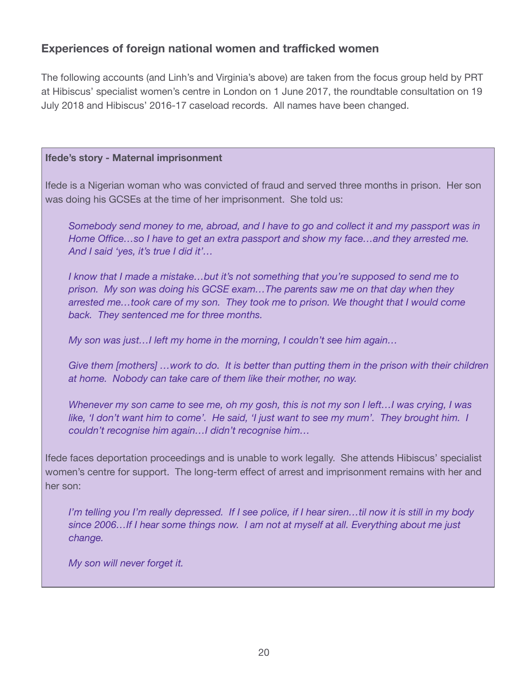# **Experiences of foreign national women and trafficked women**

The following accounts (and Linh's and Virginia's above) are taken from the focus group held by PRT at Hibiscus' specialist women's centre in London on 1 June 2017, the roundtable consultation on 19 July 2018 and Hibiscus' 2016-17 caseload records. All names have been changed.

#### **Ifede's story - Maternal imprisonment**

Ifede is a Nigerian woman who was convicted of fraud and served three months in prison. Her son was doing his GCSEs at the time of her imprisonment. She told us:

*Somebody send money to me, abroad, and I have to go and collect it and my passport was in Home Office…so I have to get an extra passport and show my face…and they arrested me. And I said 'yes, it's true I did it'…*

*I know that I made a mistake…but it's not something that you're supposed to send me to prison. My son was doing his GCSE exam…The parents saw me on that day when they arrested me…took care of my son. They took me to prison. We thought that I would come back. They sentenced me for three months.*

*My son was just…I left my home in the morning, I couldn't see him again…*

*Give them [mothers] …work to do. It is better than putting them in the prison with their children at home. Nobody can take care of them like their mother, no way.*

*Whenever my son came to see me, oh my gosh, this is not my son I left…I was crying, I was like, 'I don't want him to come'. He said, 'I just want to see my mum'. They brought him. I couldn't recognise him again…I didn't recognise him…*

Ifede faces deportation proceedings and is unable to work legally. She attends Hibiscus' specialist women's centre for support. The long-term effect of arrest and imprisonment remains with her and her son:

*I'm telling you I'm really depressed. If I see police, if I hear siren…til now it is still in my body since 2006…If I hear some things now. I am not at myself at all. Everything about me just change.* 

*My son will never forget it.*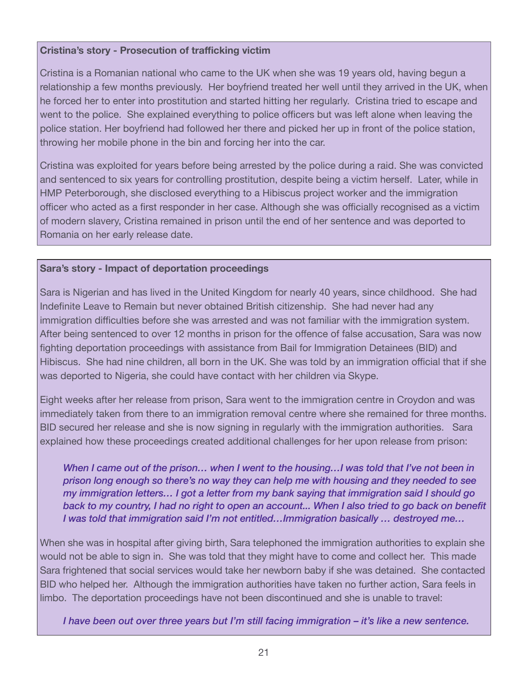## **Cristina's story - Prosecution of trafficking victim**

Cristina is a Romanian national who came to the UK when she was 19 years old, having begun a relationship a few months previously. Her boyfriend treated her well until they arrived in the UK, when he forced her to enter into prostitution and started hitting her regularly. Cristina tried to escape and went to the police. She explained everything to police officers but was left alone when leaving the police station. Her boyfriend had followed her there and picked her up in front of the police station, throwing her mobile phone in the bin and forcing her into the car.

Cristina was exploited for years before being arrested by the police during a raid. She was convicted and sentenced to six years for controlling prostitution, despite being a victim herself. Later, while in HMP Peterborough, she disclosed everything to a Hibiscus project worker and the immigration officer who acted as a first responder in her case. Although she was officially recognised as a victim of modern slavery, Cristina remained in prison until the end of her sentence and was deported to Romania on her early release date.

# **Sara's story - Impact of deportation proceedings**

Sara is Nigerian and has lived in the United Kingdom for nearly 40 years, since childhood. She had Indefinite Leave to Remain but never obtained British citizenship. She had never had any immigration difficulties before she was arrested and was not familiar with the immigration system. After being sentenced to over 12 months in prison for the offence of false accusation, Sara was now fighting deportation proceedings with assistance from Bail for Immigration Detainees (BID) and Hibiscus. She had nine children, all born in the UK. She was told by an immigration official that if she was deported to Nigeria, she could have contact with her children via Skype.

Eight weeks after her release from prison, Sara went to the immigration centre in Croydon and was immediately taken from there to an immigration removal centre where she remained for three months. BID secured her release and she is now signing in regularly with the immigration authorities. Sara explained how these proceedings created additional challenges for her upon release from prison:

*When I came out of the prison… when I went to the housing…I was told that I've not been in prison long enough so there's no way they can help me with housing and they needed to see my immigration letters… I got a letter from my bank saying that immigration said I should go back to my country, I had no right to open an account... When I also tried to go back on benefit I was told that immigration said I'm not entitled…Immigration basically … destroyed me…*

When she was in hospital after giving birth, Sara telephoned the immigration authorities to explain she would not be able to sign in. She was told that they might have to come and collect her. This made Sara frightened that social services would take her newborn baby if she was detained. She contacted BID who helped her. Although the immigration authorities have taken no further action, Sara feels in limbo. The deportation proceedings have not been discontinued and she is unable to travel:

*I have been out over three years but I'm still facing immigration – it's like a new sentence.*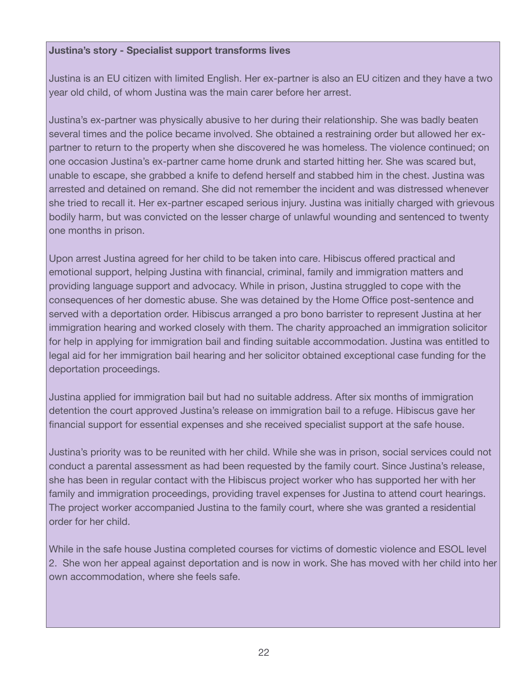# **Justina's story - Specialist support transforms lives**

Justina is an EU citizen with limited English. Her ex-partner is also an EU citizen and they have a two year old child, of whom Justina was the main carer before her arrest.

Justina's ex-partner was physically abusive to her during their relationship. She was badly beaten several times and the police became involved. She obtained a restraining order but allowed her expartner to return to the property when she discovered he was homeless. The violence continued; on one occasion Justina's ex-partner came home drunk and started hitting her. She was scared but, unable to escape, she grabbed a knife to defend herself and stabbed him in the chest. Justina was arrested and detained on remand. She did not remember the incident and was distressed whenever she tried to recall it. Her ex-partner escaped serious injury. Justina was initially charged with grievous bodily harm, but was convicted on the lesser charge of unlawful wounding and sentenced to twenty one months in prison.

Upon arrest Justina agreed for her child to be taken into care. Hibiscus offered practical and emotional support, helping Justina with financial, criminal, family and immigration matters and providing language support and advocacy. While in prison, Justina struggled to cope with the consequences of her domestic abuse. She was detained by the Home Office post-sentence and served with a deportation order. Hibiscus arranged a pro bono barrister to represent Justina at her immigration hearing and worked closely with them. The charity approached an immigration solicitor for help in applying for immigration bail and finding suitable accommodation. Justina was entitled to legal aid for her immigration bail hearing and her solicitor obtained exceptional case funding for the deportation proceedings.

Justina applied for immigration bail but had no suitable address. After six months of immigration detention the court approved Justina's release on immigration bail to a refuge. Hibiscus gave her financial support for essential expenses and she received specialist support at the safe house.

Justina's priority was to be reunited with her child. While she was in prison, social services could not conduct a parental assessment as had been requested by the family court. Since Justina's release, she has been in regular contact with the Hibiscus project worker who has supported her with her family and immigration proceedings, providing travel expenses for Justina to attend court hearings. The project worker accompanied Justina to the family court, where she was granted a residential order for her child.

While in the safe house Justina completed courses for victims of domestic violence and ESOL level 2. She won her appeal against deportation and is now in work. She has moved with her child into her own accommodation, where she feels safe.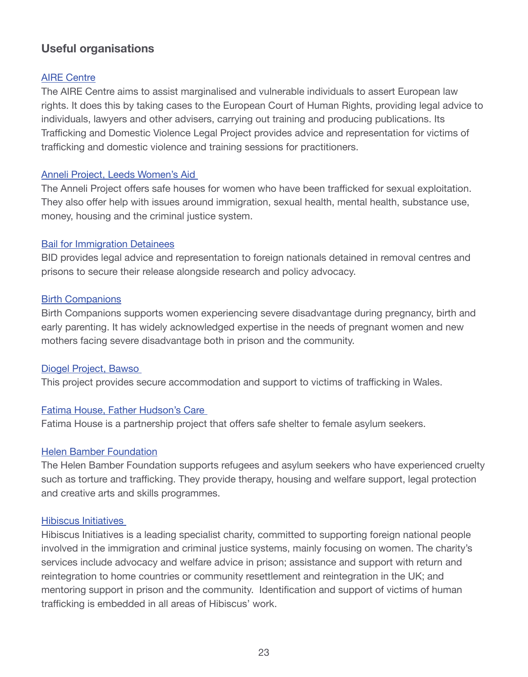# **Useful organisations**

# **[AIRE Centre](http://www.airecentre.org/pages/trafficking-and-domestic-violence-legal-project.html)**

The AIRE Centre aims to assist marginalised and vulnerable individuals to assert European law rights. It does this by taking cases to the European Court of Human Rights, providing legal advice to individuals, lawyers and other advisers, carrying out training and producing publications. Its Trafficking and Domestic Violence Legal Project provides advice and representation for victims of trafficking and domestic violence and training sessions for practitioners.

#### [Anneli Project, Leeds Women's Aid](http://www.leedswomensaid.co.uk)

The Anneli Project offers safe houses for women who have been trafficked for sexual exploitation. They also offer help with issues around immigration, sexual health, mental health, substance use, money, housing and the criminal justice system.

#### [Bail for Immigration Detainees](http://www.biduk.org/)

BID provides legal advice and representation to foreign nationals detained in removal centres and prisons to secure their release alongside research and policy advocacy.

## [Birth Companions](https://www.birthcompanions.org.uk/)

Birth Companions supports women experiencing severe disadvantage during pregnancy, birth and early parenting. It has widely acknowledged expertise in the needs of pregnant women and new mothers facing severe disadvantage both in prison and the community.

## [Diogel Project, Bawso](http://www.bawso.org.uk/our-services/women/human-trafficking-diogel-project/)

This project provides secure accommodation and support to victims of trafficking in Wales.

## [Fatima House, Father Hudson's Care](http://www.fatherhudsons.org.uk/community-projects/fatima-house/149.htm)

Fatima House is a partnership project that offers safe shelter to female asylum seekers.

## [Helen Bamber Foundation](http://www.helenbamber.org/)

The Helen Bamber Foundation supports refugees and asylum seekers who have experienced cruelty such as torture and trafficking. They provide therapy, housing and welfare support, legal protection and creative arts and skills programmes.

#### [Hibiscus](http://hibiscusinitiatives.org.uk/) Initiatives

Hibiscus Initiatives is a leading specialist charity, committed to supporting foreign national people involved in the immigration and criminal justice systems, mainly focusing on women. The charity's services include advocacy and welfare advice in prison; assistance and support with return and reintegration to home countries or community resettlement and reintegration in the UK; and mentoring support in prison and the community. Identification and support of victims of human trafficking is embedded in all areas of Hibiscus' work.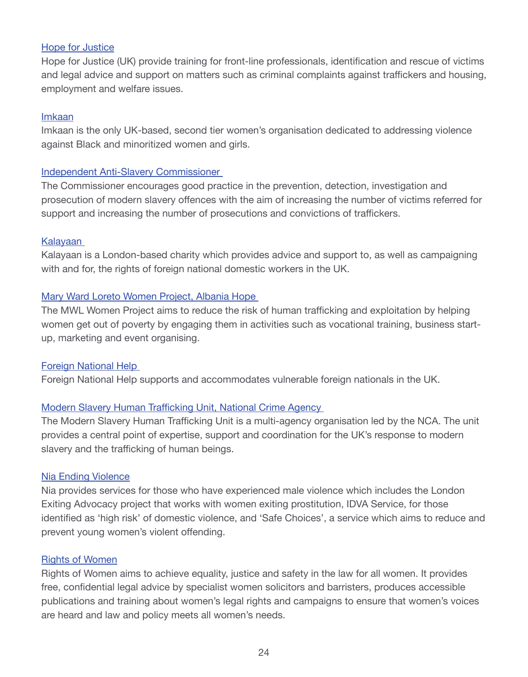#### [Hope for Justice](http://hopeforjustice.org/united-kingdom/)

Hope for Justice (UK) provide training for front-line professionals, identification and rescue of victims and legal advice and support on matters such as criminal complaints against traffickers and housing, employment and welfare issues.

#### [Imkaan](https://www.imkaan.org.uk/)

Imkaan is the only UK-based, second tier women's organisation dedicated to addressing violence against Black and minoritized women and girls.

## [Independent Anti-Slavery Commissioner](http://www.antislaverycommissioner.co.uk/)

The Commissioner encourages good practice in the prevention, detection, investigation and prosecution of modern slavery offences with the aim of increasing the number of victims referred for support and increasing the number of prosecutions and convictions of traffickers.

#### [Kalayaan](http://www.kalayaan.org.uk/)

Kalayaan is a London-based charity which provides advice and support to, as well as campaigning with and for, the rights of foreign national domestic workers in the UK.

#### [Mary Ward Loreto Women Project, Albania Hope](http://www.albaniahope.com/people-we-help/mary-wards-women/)

The MWL Women Project aims to reduce the risk of human trafficking and exploitation by helping women get out of poverty by engaging them in activities such as vocational training, business startup, marketing and event organising.

#### [Foreign National Help](http://www.migranthelpuk.org/)

Foreign National Help supports and accommodates vulnerable foreign nationals in the UK.

## [Modern Slavery Human Trafficking Unit, National Crime Agency](http://www.nationalcrimeagency.gov.uk/about-us/what-we-do/specialist-capabilities/uk-human-trafficking-centre)

The Modern Slavery Human Trafficking Unit is a multi-agency organisation led by the NCA. The unit provides a central point of expertise, support and coordination for the UK's response to modern slavery and the trafficking of human beings.

#### [Nia Ending Violence](http://www.niaendingviolence.org.uk/index.html)

Nia provides services for those who have experienced male violence which includes the London Exiting Advocacy project that works with women exiting prostitution, IDVA Service, for those identified as 'high risk' of domestic violence, and 'Safe Choices', a service which aims to reduce and prevent young women's violent offending.

#### [Rights of Women](http://rightsofwomen.org.uk/)

Rights of Women aims to achieve equality, justice and safety in the law for all women. It provides free, confidential legal advice by specialist women solicitors and barristers, produces accessible publications and training about women's legal rights and campaigns to ensure that women's voices are heard and law and policy meets all women's needs.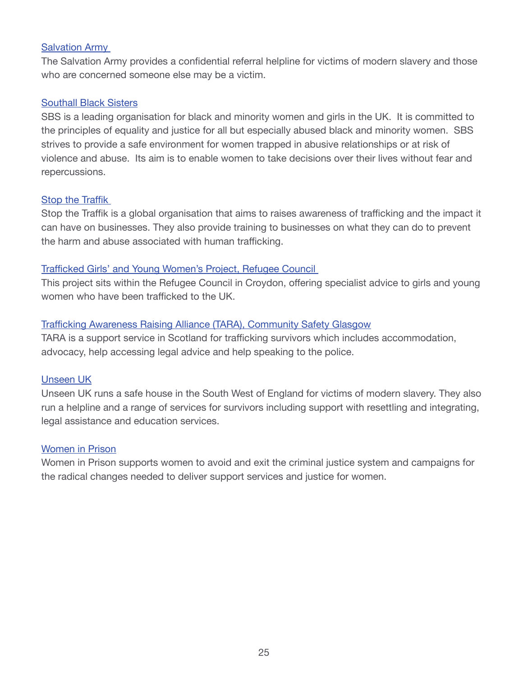## [Salvation Army](https://www.salvationarmy.org.uk/human-trafficking)

The Salvation Army provides a confidential referral helpline for victims of modern slavery and those who are concerned someone else may be a victim.

# [Southall Black Sisters](https://www.southallblacksisters.org.uk/)

SBS is a leading organisation for black and minority women and girls in the UK. It is committed to the principles of equality and justice for all but especially abused black and minority women. SBS strives to provide a safe environment for women trapped in abusive relationships or at risk of violence and abuse. Its aim is to enable women to take decisions over their lives without fear and repercussions.

# **[Stop the Traffik](http://www.stopthetraffik.org/uk/)**

Stop the Traffik is a global organisation that aims to raises awareness of trafficking and the impact it can have on businesses. They also provide training to businesses on what they can do to prevent the harm and abuse associated with human trafficking.

# [Trafficked Girls' and Young Women's Project, Refugee Council](http://www.refugeecouncil.org.uk/what_we_do/childrens_services/working_with_trafficked_children/trafficked_girls_and_young_womens_pro)

This project sits within the Refugee Council in Croydon, offering specialist advice to girls and young women who have been trafficked to the UK.

# [Trafficking Awareness Raising Alliance \(TARA\), Community Safety Glasgow](https://www.communitysafetyglasgow.org/what-we-do/supporting-victims-of-gender-based-violence/%EF%BF%BC%EF%BF%BCtara/)

TARA is a support service in Scotland for trafficking survivors which includes accommodation, advocacy, help accessing legal advice and help speaking to the police.

## [Unseen UK](http://www.unseenuk.org/)

Unseen UK runs a safe house in the South West of England for victims of modern slavery. They also run a helpline and a range of services for survivors including support with resettling and integrating, legal assistance and education services.

## [Women in Prison](http://www.womeninprison.org.uk/about-us.php)

Women in Prison supports women to avoid and exit the criminal justice system and campaigns for the radical changes needed to deliver support services and justice for women.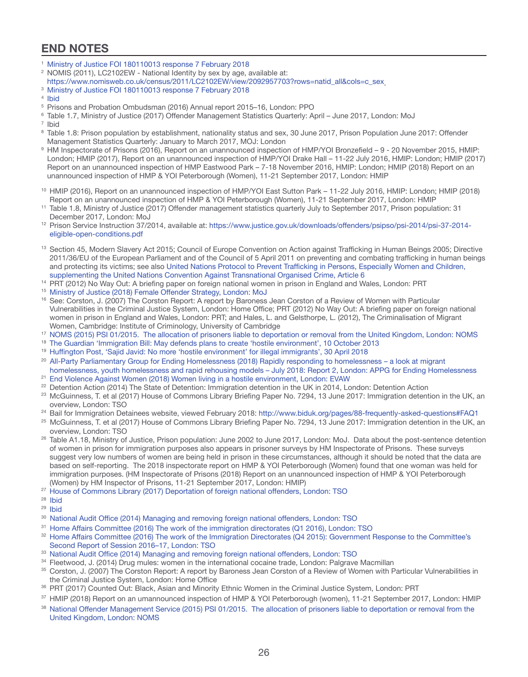# **END NOTES**

- <sup>1</sup> [Ministry of Justice FOI 180110013 response 7 February 2018](http://hubble-live-assets.s3.amazonaws.com/biduk/redactor2_assets/files/657/Legal_Advice_Survey_-_Spring_2018.pdf#incoming-1109035)
- <sup>2</sup> NOMIS (2011), LC2102EW National Identity by sex by age, available at:
- [https://www.nomisweb.co.uk/census/2011/LC2102EW/view/2092957703?rows=natid\\_all&cols=c\\_sex](https://www.nomisweb.co.uk/census/2011/LC2102EW/view/2092957703?rows=natid_all&cols=c_sex)
- <sup>3</sup> [Ministry of Justice FOI 180110013 response 7 February 2018](https://www.whatdotheyknow.com/request/foreign_national_prisoners_4?nocache=incoming-1109035#incoming-1109035)
- <sup>4</sup> [Ibid](https://www.whatdotheyknow.com/request/foreign_national_prisoners_4?nocache=incoming-1109035#incoming-1109035)
- <sup>5</sup> Prisons and Probation Ombudsman (2016) Annual report 2015–16, London: PPO
- <sup>6</sup> Table 1.7, Ministry of Justice (2017) Offender Management Statistics Quarterly: April June 2017, London: MoJ
- <sup>7</sup> Ibid
- <sup>8</sup> Table 1.8: Prison population by establishment, nationality status and sex, 30 June 2017, Prison Population June 2017: Offender Management Statistics Quarterly: January to March 2017, MOJ: London
- 9 HM Inspectorate of Prisons (2016), Report on an unannounced inspection of HMP/YOI Bronzefield 9 20 November 2015, HMIP: London; HMIP (2017), Report on an unannounced inspection of HMP/YOI Drake Hall – 11-22 July 2016, HMIP: London; HMIP (2017) Report on an unannounced inspection of HMP Eastwood Park – 7-18 November 2016, HMIP: London; HMIP (2018) Report on an unannounced inspection of HMP & YOI Peterborough (Women), 11-21 September 2017, London: HMIP
- <sup>10</sup> HMIP (2016), Report on an unannounced inspection of HMP/YOI East Sutton Park 11-22 July 2016, HMIP: London; HMIP (2018) Report on an unannounced inspection of HMP & YOI Peterborough (Women), 11-21 September 2017, London: HMIP
- <sup>11</sup> Table 1.8, Ministry of Justice (2017) Offender management statistics quarterly July to September 2017, Prison population: 31 December 2017, London: MoJ
- <sup>12</sup> Prison Service Instruction 37/2014, available at: [https://www.justice.gov.uk/downloads/offenders/psipso/psi-2014/psi-37-2014](https://www.justice.gov.uk/downloads/offenders/psipso/psi-2014/psi-37-2014-eligible-open-conditions.pdf) [eligible-open-conditions.pdf](https://www.justice.gov.uk/downloads/offenders/psipso/psi-2014/psi-37-2014-eligible-open-conditions.pdf)
- 13 Section 45, Modern Slavery Act 2015; Council of Europe Convention on Action against Trafficking in Human Beings 2005; Directive 2011/36/EU of the European Parliament and of the Council of 5 April 2011 on preventing and combating trafficking in human beings and protecting its victims; see also [United Nations Protocol to Prevent Trafficking in Persons, Especially Women and Children,](https://treaties.un.org/doc/source/docs/A_RES_55_25-E.pdf) [supplementing the United Nations Convention Against Transnational Organised Crime, Article 6](https://treaties.un.org/doc/source/docs/A_RES_55_25-E.pdf)
- <sup>14</sup> PRT (2012) No Way Out: A briefing paper on foreign national women in prison in England and Wales, London: PRT
- <sup>15</sup> [Ministry of Justice \(2018\) Female Offender Strategy, London: MoJ](https://www.gov.uk/government/publications/female-offender-strategy)
- <sup>16</sup> See: Corston, J. (2007) The Corston Report: A report by Baroness Jean Corston of a Review of Women with Particular Vulnerabilities in the Criminal Justice System, London: Home Office; PRT (2012) No Way Out: A briefing paper on foreign national women in prison in England and Wales, London: PRT; and Hales, L. and Gelsthorpe, L. (2012), The Criminalisation of Migrant Women, Cambridge: Institute of Criminology, University of Cambridge<br>17 [NOMS \(2015\) PSI 01/2015. The allocation of prisoners liable to deportation or removal from the United Kingdom, London: NOMS](https://www.justice.gov.uk/downloads/offenders/psipso/psi-2015/psi-01-2015-allocation-of-prisoners-liable-to-deportation-removal.pdf)
- 
- <sup>18</sup> [The Guardian 'Immigration Bill: May defends plans to create 'hostile environment', 10 October 2013](https://www.theguardian.com/politics/2013/oct/10/immigration-bill-theresa-may-hostile-environment)
- <sup>19</sup> [Huffington Post, 'Sajid Javid: No more 'hostile environment' for illegal immigrants', 30 April 2018](http://www.prisonreformtrust.org.uk/women)
- <sup>20</sup> [All-Party Parliamentary Group for Ending Homelessness \(2018\) Rapidly responding to homelessness a look at migrant](http://www.hibiscusinitiatives.org.uk) [homelessness, youth homelessness and rapid rehousing models – July 2018: Report 2, London: APPG for Ending Homelessness](http://www.hibiscusinitiatives.org.uk)
- <sup>21</sup> [End Violence Against Women \(2018\) Women living in a hostile environment, London: EVAW](http://www.leedswomensaid.co.uk/our-services/trafficked-women/) <sup>22</sup> Detention Action (2014) The State of Detention: Immigration detention in the UK in 2014, London: Detention Action
- <sup>23</sup> McGuinness, T. et al (2017) House of Commons Library Briefing Paper No. 7294, 13 June 2017: Immigration detention in the UK, an overview, London: TSO
- <sup>24</sup> Bail for Immigration Detainees website, viewed February 2018: [http://www.biduk.org/pages/88-frequently-asked-questions#FAQ1](http://www.biduk.org/#FAQ1)
- <sup>25</sup> McGuinness, T. et al (2017) House of Commons Library Briefing Paper No. 7294, 13 June 2017: Immigration detention in the UK, an overview, London: TSO
- <sup>26</sup> Table A1.18, Ministry of Justice, Prison population: June 2002 to June 2017, London: MoJ. Data about the post-sentence detention of women in prison for immigration purposes also appears in prisoner surveys by HM Inspectorate of Prisons. These surveys suggest very low numbers of women are being held in prison in these circumstances, although it should be noted that the data are based on self-reporting. The 2018 inspectorate report on HMP & YOI Peterborough (Women) found that one woman was held for immigration purposes. (HM Inspectorate of Prisons (2018) Report on an unannounced inspection of HMP & YOI Peterborough (Women) by HM Inspector of Prisons, 11-21 September 2017, London: HMIP)
- <sup>27</sup> [House of Commons Library \(2017\) Deportation of foreign national offenders, London: TSO](http://www.fatherhudsons.org.uk/community-projects/fatima-house/149.htm)
- <sup>28</sup> [Ibid](http://www.helenbamber.org/)
- <sup>29</sup> [Ibid](http://hibiscusinitiatives.org.uk/)
- <sup>30</sup> [National Audit Office \(2014\) Managing and removing foreign national offenders, London: TSO](http://hopeforjustice.org/united-kingdom/)
- <sup>31</sup> [Home Affairs Committee \(2016\) The work of the immigration directorates \(Q1 2016\), London: TSO](https://www.imkaan.org.uk/)
- 32 [Home Affairs Committee \(2016\) The work of the Immigration Directorates \(Q4 2015\): Government Response to the Committee's](http://www.antislaverycommissioner.co.uk/#_idTextAnchor007) [Second Report of Session 2016–17, London: TSO](http://www.antislaverycommissioner.co.uk/#_idTextAnchor007)
- 33 [National Audit Office \(2014\) Managing and removing foreign national offenders, London: TSO](http://www.kalayaan.org.uk/)
- <sup>34</sup> Fleetwood, J. (2014) Drug mules: women in the international cocaine trade, London: Palgrave Macmillan
- 35 Corston, J. (2007) The Corston Report: A report by Baroness Jean Corston of a Review of Women with Particular Vulnerabilities in the Criminal Justice System, London: Home Office
- 36 PRT (2017) Counted Out: Black, Asian and Minority Ethnic Women in the Criminal Justice System, London: PRT
- <sup>37</sup> HMIP (2018) Report on an umannounced inspection of HMP & YOI Peterborough (women), 11-21 September 2017, London: HMIP
- 38 [National Offender Management Service \(2015\) PSI 01/2015. The allocation of prisoners liable to deportation or removal from the](http://www.albaniahope.com/people-we-help/mary-wards-women/) [United Kingdom, London: NOMS](http://www.albaniahope.com/people-we-help/mary-wards-women/)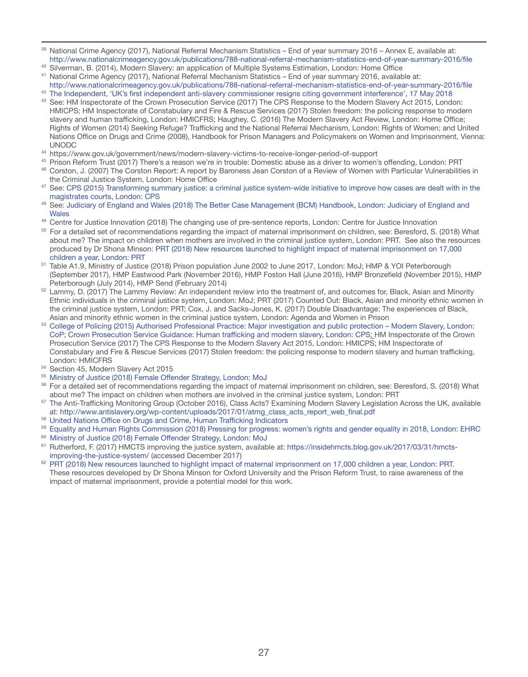- 39 National Crime Agency (2017), National Referral Mechanism Statistics End of year summary 2016 Annex E, available at: http://www.nationalcrimeagency.gov.uk/publications/788-national-referral-mechanism-statistics-end-of-year-summary-2016/file
- <sup>40</sup> Silverman, B. (2014), Modern Slavery: an application of Multiple Systems Estimation, London: Home Office
- <sup>41</sup> National Crime Agency (2017), National Referral Mechanism Statistics End of year summary 2016, available at:
- http://www.nationalcrimeagency.gov.uk/publications/788-national-referral-mechanism-statistics-end-of-year-summary-2016/file <sup>42</sup> [The Independent, 'UK's first independent anti-slavery commissioner resigns citing government interference', 17 May 2018](http://www.niaendingviolence.org.uk/index.html)
- <sup>43</sup> See: HM Inspectorate of the Crown Prosecution Service (2017) The CPS Response to the Modern Slavery Act 2015, London: HMICPS; HM Inspectorate of Constabulary and Fire & Rescue Services (2017) Stolen freedom: the policing response to modern slavery and human trafficking, London: HMICFRS; Haughey, C. (2016) The Modern Slavery Act Review, London: Home Office; Rights of Women (2014) Seeking Refuge? Trafficking and the National Referral Mechanism, London: Rights of Women; and United Nations Office on Drugs and Crime (2008), Handbook for Prison Managers and Policymakers on Women and Imprisonment, Vienna: UNODC
- <sup>44</sup> https://www.gov.uk/government/news/modern-slavery-victims-to-receive-longer-period-of-support
- <sup>45</sup> Prison Reform Trust (2017) There's a reason we're in trouble: Domestic abuse as a driver to women's offending, London: PRT <sup>46</sup> Corston, J. (2007) The Corston Report: A report by Baroness Jean Corston of a Review of Women with Particular Vulnerabilities in
- the Criminal Justice System, London: Home Office
- <sup>47</sup> See: [CPS \(2015\) Transforming summary justice: a criminal justice system-wide initiative to improve how cases are dealt with in the](http://rightsofwomen.org.uk/) [magistrates courts, London: CPS](http://rightsofwomen.org.uk/)
- <sup>48</sup> See: [Judiciary of England and Wales \(2018\) The Better Case Management \(BCM\) Handbook, London: Judiciary of England and](https://www.salvationarmy.org.uk/human-trafficking) **[Wales](https://www.salvationarmy.org.uk/human-trafficking)**
- 49 Centre for Justice Innovation (2018) The changing use of pre-sentence reports, London: Centre for Justice Innovation
- <sup>50</sup> For a detailed set of recommendations regarding the impact of maternal imprisonment on children, see: Beresford, S. (2018) What about me? The impact on children when mothers are involved in the criminal justice system, London: PRT. See also the resources produced by Dr Shona Minson: [PRT \(2018\) New resources launched to highlight impact of maternal imprisonment on 17,000](https://www.southallblacksisters.org.uk/) [children a year, London: PRT](https://www.southallblacksisters.org.uk/)
- <sup>51</sup> Table A1.9, Ministry of Justice (2018) Prison population June 2002 to June 2017, London: MoJ; HMP & YOI Peterborough (September 2017), HMP Eastwood Park (November 2016), HMP Foston Hall (June 2016), HMP Bronzefield (November 2015), HMP Peterborough (July 2014), HMP Send (February 2014)
- <sup>52</sup> Lammy, D. (2017) The Lammy Review: An independent review into the treatment of, and outcomes for, Black, Asian and Minority Ethnic individuals in the criminal justice system, London: MoJ; PRT (2017) Counted Out: Black, Asian and minority ethnic women in the criminal justice system, London: PRT; Cox, J. and Sacks-Jones, K. (2017) Double Disadvantage: The experiences of Black, Asian and minority ethnic women in the criminal justice system, London: Agenda and Women in Prison
- <sup>53</sup> [College of Policing \(2015\) Authorised Professional Practice: Major investigation and public protection Modern Slavery, London:](http://www.stopthetraffik.org/uk/) [CoP;](http://www.stopthetraffik.org/uk/) [Crown Prosecution Service Guidance: Human trafficking and modern slavery, London: CPS;](http://www.refugeecouncil.org.uk/what_we_do/childrens_services/working_with_trafficked_children/trafficked_girls_and_young_womens_pro#a25) HM Inspectorate of the Crown Prosecution Service (2017) The CPS Response to the Modern Slavery Act 2015, London: HMICPS; HM Inspectorate of Constabulary and Fire & Rescue Services (2017) Stolen freedom: the policing response to modern slavery and human trafficking, London: HMICFRS
- <sup>54</sup> Section 45, Modern Slavery Act 2015
- <sup>55</sup> [Ministry of Justice \(2018\) Female Offender Strategy, London: MoJ](http://www.communitysafetyglasgow.org/what-we-do/supporting-victims-of-gender-based-violence/??tara/)
- <sup>56</sup> For a detailed set of recommendations regarding the impact of maternal imprisonment on children, see: Beresford, S. (2018) What about me? The impact on children when mothers are involved in the criminal justice system, London: PRT
- <sup>57</sup> The Anti-Trafficking Monitoring Group (October 2016), Class Acts? Examining Modern Slavery Legislation Across the UK, available at: [http://www.antislavery.org/wp-content/uploads/2017/01/atmg\\_class\\_acts\\_report\\_web\\_final.pdf](http://www.unseenuk.org/)
- 58 [United Nations Office on Drugs and Crime, Human Trafficking Indicators](http://www.womeninprison.org.uk/about-us.php)
- <sup>59</sup> [Equality and Human Rights Commission \(2018\) Pressing for progress: women's rights and gender equality in 2018, London: EHRC](https://twitter.com/PRTuk)
- <sup>60</sup> [Ministry of Justice \(2018\) Female Offender Strategy, London: MoJ](https://www.gov.uk/government/publications/female-offender-strategy)
- <sup>61</sup> Rutherford, F. (2017) HMCTS improving the justice system, available at: [https://insidehmcts.blog.gov.uk/2017/03/31/hmcts](https://insidehmcts.blog.gov.uk/2017/03/31/hmcts-improving-the-justice-system/)[improving-the-justice-system/](https://insidehmcts.blog.gov.uk/2017/03/31/hmcts-improving-the-justice-system/) (accessed December 2017)
- <sup>62</sup> [PRT \(2018\) New resources launched to highlight impact of maternal imprisonment on 17,000 children a year, London: PRT.](http://www.prisonreformtrust.org.uk/WhatWeDo/ProjectsResearch/Women/News/ItemId/524/vw/1) These resources developed by Dr Shona Minson for Oxford University and the Prison Reform Trust, to raise awareness of the impact of maternal imprisonment, provide a potential model for this work.